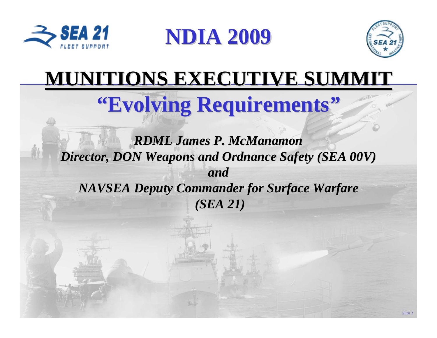

**NDIA 2009 NDIA 2009**



# **MUNITIONS EXECUTIVE SUMMIT MUNITIONS EXECUTIVE SUMMIT**

# **"Evolving Requirements"**

*RDML James P. McManamon RDML James P. McManamon Director, DON Weapons and Ordnance Safety (SEA 00V) Director, DON Weapons and Ordnance Safety (SEA 00V) andNAVSEA Deputy Commander for Surface Warfare NAVSEA Deputy Commander for Surface Warfare (SEA 21) (SEA 21)*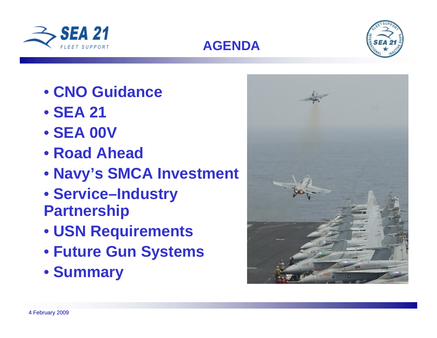



- **CNO Guidance**
- **SEA 21**
- **SEA 00V**
- **Road Ahead**
- **Navy's SMCA Investment**

**AGENDA**

- **Service–Industry Partnership**
- **USN Requirements**
- **Future Gun Systems**
- **Summary**

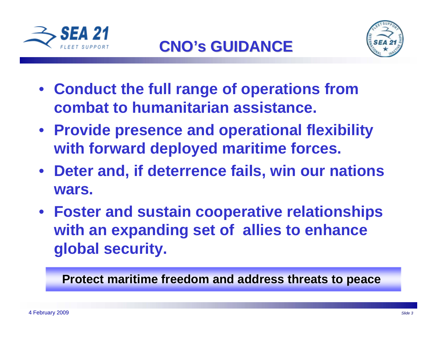



- **Conduct the full range of operations from combat to humanitarian assistance.**
- **Provide presence and operational flexibility with forward deployed maritime forces.**
- **Deter and, if deterrence fails, win our nations wars.**
- **Foster and sustain cooperative relationships with an expanding set of allies to enhance global security.**

**Protect maritime freedom and address threats to peace**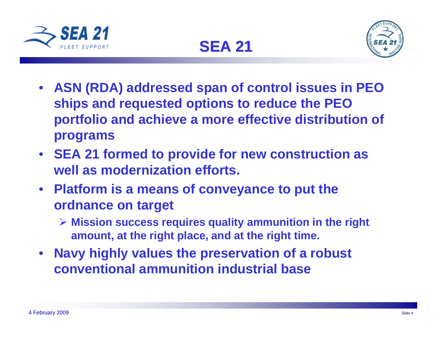





- **ASN (RDA) addressed span of control issues in PEO ships and requested options to reduce the PEO portfolio and achieve a more effective distribution of programs**
- **SEA 21 formed to provide for new construction as well as modernization efforts.**
- **Platform is a means of conveyance to put the ordnance on target**
	- **Mission success requires quality ammunition in the right amount, at the right place, and at the right time.**
- **Navy highly values the preservation of a robust conventional ammunition industrial base**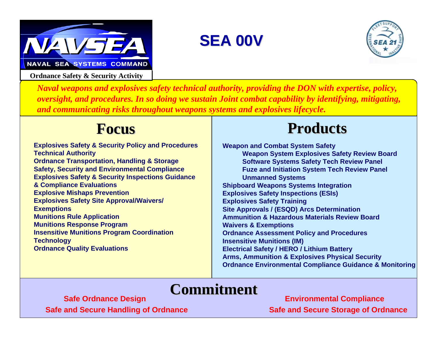

**Ordnance Safety & Security Activity**

## **SEA 00V SEA 00V**



*Naval weapons and explosives safety technical authority, providing the DON with expertise, policy, oversight, and procedures. In so doing we sustain Joint combat capability by identifying, mitigating, and communicating risks throughout weapons systems and explosives lifecycle.*

### **Focus**

**Explosives Safety & Security Policy and Procedures Technical Authority Ordnance Transportation, Handling & Storage Safety, Security and Environmental Compliance Explosives Safety & Security Inspections Guidance & Compliance Evaluations Explosive Mishaps Prevention Explosives Safety Site Approval/Waivers/ Exemptions Munitions Rule Application Munitions Response Program Insensitive Munitions Program Coordination Technology Ordnance Quality Evaluations**

## **Products Products**

**Weapon and Combat System Safety Weapon System Explosives Safety Review Board Software Systems Safety Tech Review Panel Fuze and Initiation System Tech Review Panel Unmanned Systems Shipboard Weapons Systems Integration Explosives Safety Inspections (ESIs) Explosives Safety Training Site Approvals / (ESQD) Arcs Determination Ammunition & Hazardous Materials Review BoardWaivers & Exemptions Ordnance Assessment Policy and Procedures Insensitive Munitions (IM) Electrical Safety / HERO / Lithium Battery Arms, Ammunition & Explosives Physical Security Ordnance Environmental Compliance Guidance & Monitoring**

## **Commitment Commitment**

**Safe and Secure Handling of Ordnance Safe and Secure Storage of Ordnance Storage of Ordnance Safe Ordnance Design Environmental Compliance**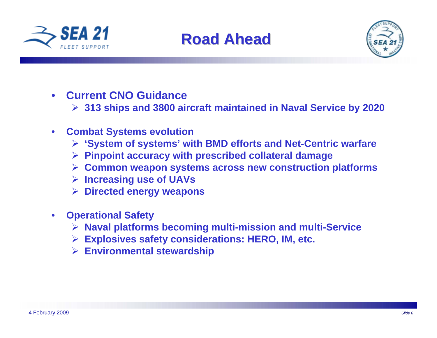





- **Current CNO Guidance**
	- **313 ships and 3800 aircraft maintained in Naval Service by 2020**
- **Combat Systems evolution**
	- **'System of systems' with BMD efforts and Net-Centric warfare**
	- **Pinpoint accuracy with prescribed collateral damage**
	- **Common weapon systems across new construction platforms**
	- **Increasing use of UAVs**
	- **Directed energy weapons**
- **Operational Safety**
	- **Naval platforms becoming multi-mission and multi-Service**
	- **Explosives safety considerations: HERO, IM, etc.**
	- **Environmental stewardship**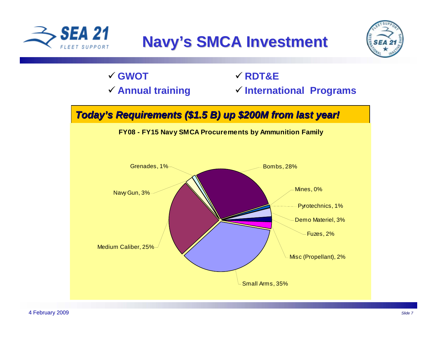

## **Navy's SMCA Investment**



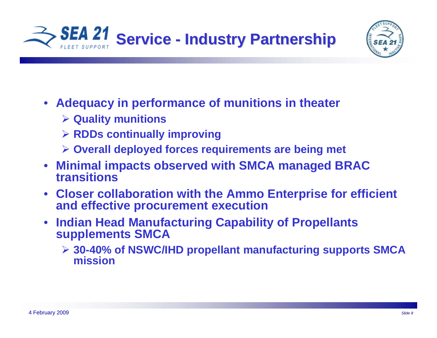



- **Adequacy in performance of munitions in theater**
	- **Quality munitions**
	- **RDDs continually improving**
	- **Overall deployed forces requirements are being met**
- **Minimal impacts observed with SMCA managed BRAC transitions**
- **Closer collaboration with the Ammo Enterprise for efficient and effective procurement execution**
- **Indian Head Manufacturing Capability of Propellants supplements SMCA**
	- **30-40% of NSWC/IHD propellant manufacturing supports SMCA mission**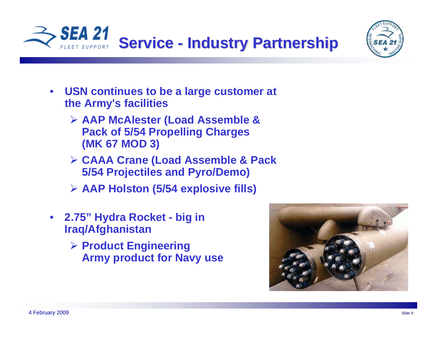



- **USN continues to be a large customer at the Army's facilities**
	- **AAP McAlester (Load Assemble & Pack of 5/54 Propelling Charges (MK 67 MOD 3)**
	- **CAAA Crane (Load Assemble & Pack 5/54 Projectiles and Pyro/Demo)**
	- **AAP Holston (5/54 explosive fills)**
- **2.75" Hydra Rocket big in Iraq/Afghanistan**
	- **Product Engineering Army product for Navy use**

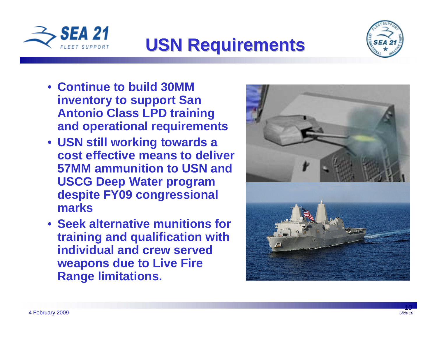

# **USN Requirements USN Requirements**



- **Continue to build 30MM inventory to support San Antonio Class LPD training and operational requirements**
- **USN still working towards a cost effective means to deliver 57MM ammunition to USN and USCG Deep Water program despite FY09 congressional marks**
- **Seek alternative munitions for training and qualification with individual and crew served weapons due to Live Fire Range limitations.**

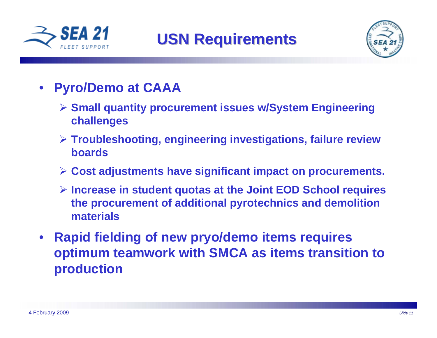



- **Pyro/Demo at CAAA** 
	- **Small quantity procurement issues w/System Engineering challenges**
	- **Troubleshooting, engineering investigations, failure review boards**
	- **Cost adjustments have significant impact on procurements.**
	- **Increase in student quotas at the Joint EOD School requires the procurement of additional pyrotechnics and demolition materials**
- **Rapid fielding of new pryo/demo items requires optimum teamwork with SMCA as items transition to production**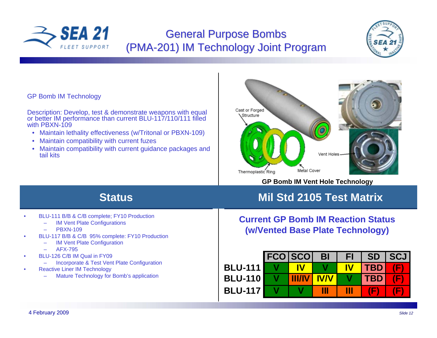

### **General Purpose Bombs** (PMA-201) IM Technology Joint Program



#### GP Bomb IM Technology

Description: Develop, test & demonstrate weapons with equal or better IM performance than current BLU-117/110/111 filled with PBXN-109

- Maintain lethality effectiveness (w/Tritonal or PBXN-109)
- Maintain compatibility with current fuzes
- Maintain compatibility with current guidance packages and tail kits



**GP Bomb IM Vent Hole Technology**

### **Status**

- BLU-111 B/B & C/B complete; FY10 Production
	- IM Vent Plate Configurations
	- PBXN-109
- BLU-117 B/B & C/B 95% complete: FY10 Production
	- **IM Vent Plate Configuration**
	- AFX-795
- BLU-126 C/B IM Qual in FY09
	- Incorporate & Test Vent Plate Configuration
- Reactive Liner IM Technology
	- Mature Technology for Bomb's application

### **Mil Std 2105 Test Matrix**

### **Current GP Bomb IM Reaction Status(w/Vented Base Plate Technology)**

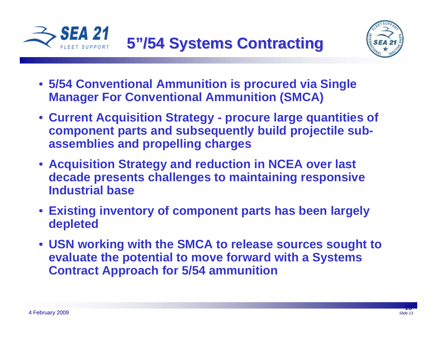



- **5/54 Conventional Ammunition is procured via Single Manager For Conventional Ammunition (SMCA)**
- **Current Acquisition Strategy procure large quantities of component parts and subsequently build projectile subassemblies and propelling charges**
- **Acquisition Strategy and reduction in NCEA over last decade presents challenges to maintaining responsive Industrial base**
- **Existing inventory of component parts has been largely depleted**
- **USN working with the SMCA to release sources sought to evaluate the potential to move forward with a Systems Contract Approach for 5/54 ammunition**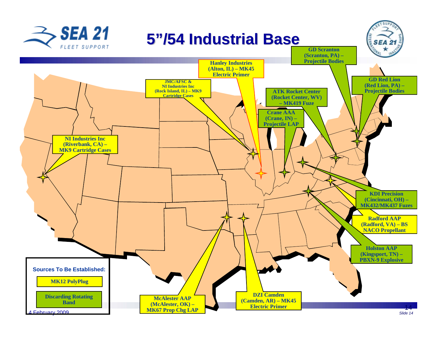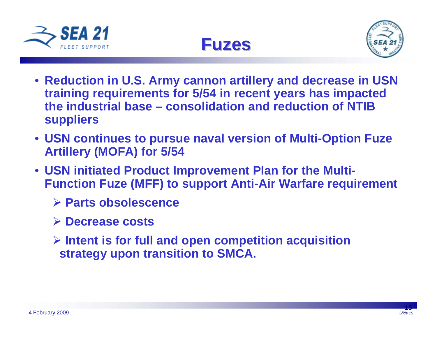





- **Reduction in U.S. Army cannon artillery and decrease in USN training requirements for 5/54 in recent years has impacted the industrial base – consolidation and reduction of NTIB suppliers**
- **USN continues to pursue naval version of Multi-Option Fuze Artillery (MOFA) for 5/54**
- **USN initiated Product Improvement Plan for the Multi-Function Fuze (MFF) to support Anti-Air Warfare requirement**
	- **Parts obsolescence**
	- **Decrease costs**
	- **Intent is for full and open competition acquisition strategy upon transition to SMCA.**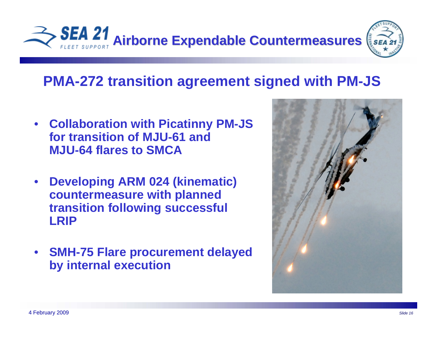

## **PMA-272 transition agreement signed with PM-JS**

- **Collaboration with Picatinny PM-JS for transition of MJU-61 and MJU-64 flares to SMCA**
- **Developing ARM 024 (kinematic) countermeasure with planned transition following successful LRIP**
- **SMH-75 Flare procurement delayed by internal execution**

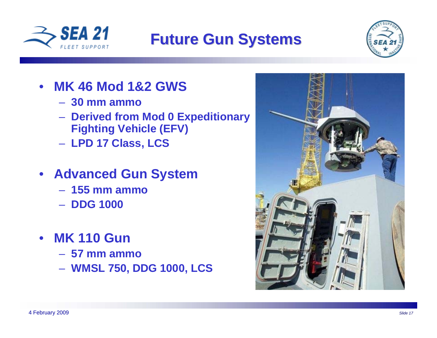

## **Future Gun Systems Future Gun Systems**



### • **MK 46 Mod 1&2 GWS**

- **30 mm ammo**
- **Derived from Mod 0 Expeditionary Fighting Vehicle (EFV)**
- **LPD 17 Class, LCS**
- **Advanced Gun System**
	- **155 mm ammo**
	- **DDG 1000**
- **MK 110 Gun**
	- **57 mm ammo**
	- **WMSL 750, DDG 1000, LCS**